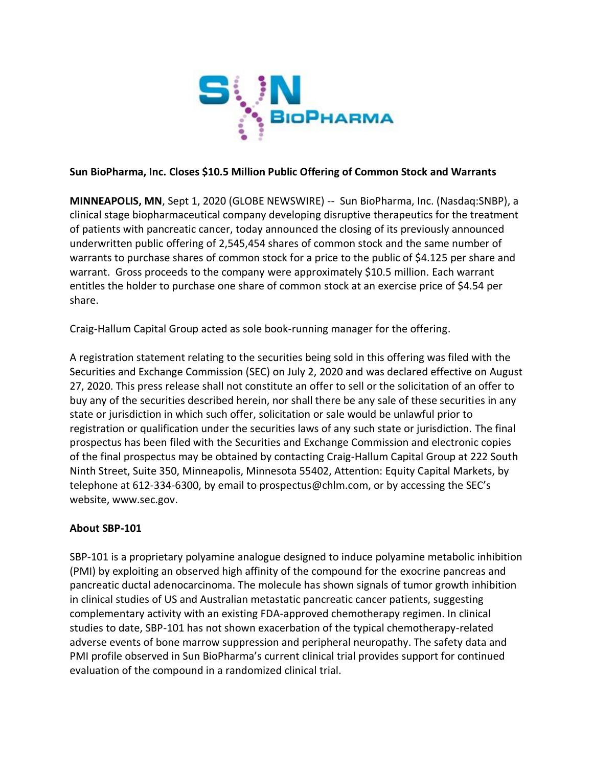

## **Sun BioPharma, Inc. Closes \$10.5 Million Public Offering of Common Stock and Warrants**

**MINNEAPOLIS, MN**, Sept 1, 2020 (GLOBE NEWSWIRE) -- Sun BioPharma, Inc. (Nasdaq:SNBP), a clinical stage biopharmaceutical company developing disruptive therapeutics for the treatment of patients with pancreatic cancer, today announced the closing of its previously announced underwritten public offering of 2,545,454 shares of common stock and the same number of warrants to purchase shares of common stock for a price to the public of \$4.125 per share and warrant. Gross proceeds to the company were approximately \$10.5 million. Each warrant entitles the holder to purchase one share of common stock at an exercise price of \$4.54 per share.

Craig-Hallum Capital Group acted as sole book-running manager for the offering.

A registration statement relating to the securities being sold in this offering was filed with the Securities and Exchange Commission (SEC) on July 2, 2020 and was declared effective on August 27, 2020. This press release shall not constitute an offer to sell or the solicitation of an offer to buy any of the securities described herein, nor shall there be any sale of these securities in any state or jurisdiction in which such offer, solicitation or sale would be unlawful prior to registration or qualification under the securities laws of any such state or jurisdiction. The final prospectus has been filed with the Securities and Exchange Commission and electronic copies of the final prospectus may be obtained by contacting Craig-Hallum Capital Group at 222 South Ninth Street, Suite 350, Minneapolis, Minnesota 55402, Attention: Equity Capital Markets, by telephone at 612-334-6300, by email to prospectus@chlm.com, or by accessing the SEC's website, www.sec.gov.

# **About SBP-101**

SBP-101 is a proprietary polyamine analogue designed to induce polyamine metabolic inhibition (PMI) by exploiting an observed high affinity of the compound for the exocrine pancreas and pancreatic ductal adenocarcinoma. The molecule has shown signals of tumor growth inhibition in clinical studies of US and Australian metastatic pancreatic cancer patients, suggesting complementary activity with an existing FDA-approved chemotherapy regimen. In clinical studies to date, SBP-101 has not shown exacerbation of the typical chemotherapy-related adverse events of bone marrow suppression and peripheral neuropathy. The safety data and PMI profile observed in Sun BioPharma's current clinical trial provides support for continued evaluation of the compound in a randomized clinical trial.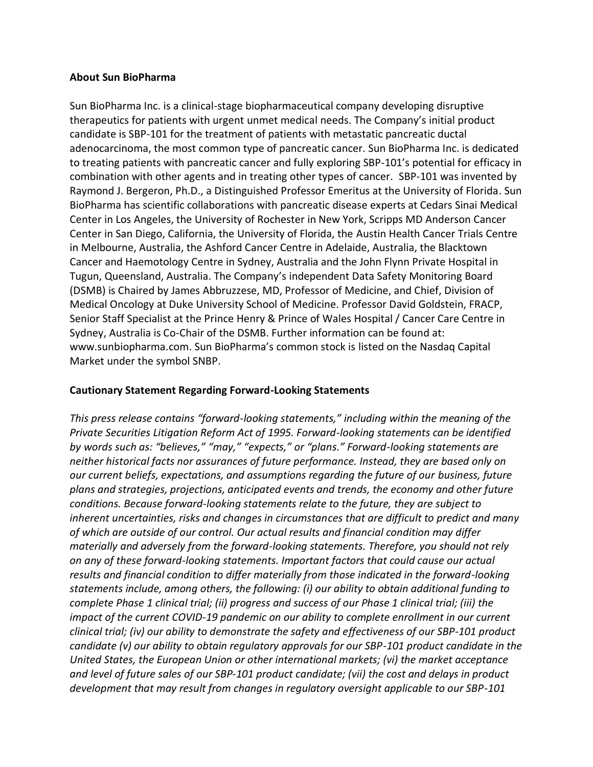### **About Sun BioPharma**

Sun BioPharma Inc. is a clinical-stage biopharmaceutical company developing disruptive therapeutics for patients with urgent unmet medical needs. The Company's initial product candidate is SBP-101 for the treatment of patients with metastatic pancreatic ductal adenocarcinoma, the most common type of pancreatic cancer. Sun BioPharma Inc. is dedicated to treating patients with pancreatic cancer and fully exploring SBP-101's potential for efficacy in combination with other agents and in treating other types of cancer. SBP-101 was invented by Raymond J. Bergeron, Ph.D., a Distinguished Professor Emeritus at the University of Florida. Sun BioPharma has scientific collaborations with pancreatic disease experts at Cedars Sinai Medical Center in Los Angeles, the University of Rochester in New York, Scripps MD Anderson Cancer Center in San Diego, California, the University of Florida, the Austin Health Cancer Trials Centre in Melbourne, Australia, the Ashford Cancer Centre in Adelaide, Australia, the Blacktown Cancer and Haemotology Centre in Sydney, Australia and the John Flynn Private Hospital in Tugun, Queensland, Australia. The Company's independent Data Safety Monitoring Board (DSMB) is Chaired by James Abbruzzese, MD, Professor of Medicine, and Chief, Division of Medical Oncology at Duke University School of Medicine. Professor David Goldstein, FRACP, Senior Staff Specialist at the Prince Henry & Prince of Wales Hospital / Cancer Care Centre in Sydney, Australia is Co-Chair of the DSMB. Further information can be found at: www.sunbiopharma.com. Sun BioPharma's common stock is listed on the Nasdaq Capital Market under the symbol SNBP.

## **Cautionary Statement Regarding Forward-Looking Statements**

*This press release contains "forward-looking statements," including within the meaning of the Private Securities Litigation Reform Act of 1995. Forward-looking statements can be identified by words such as: "believes," "may," "expects," or "plans." Forward-looking statements are neither historical facts nor assurances of future performance. Instead, they are based only on our current beliefs, expectations, and assumptions regarding the future of our business, future plans and strategies, projections, anticipated events and trends, the economy and other future conditions. Because forward-looking statements relate to the future, they are subject to inherent uncertainties, risks and changes in circumstances that are difficult to predict and many of which are outside of our control. Our actual results and financial condition may differ materially and adversely from the forward-looking statements. Therefore, you should not rely on any of these forward-looking statements. Important factors that could cause our actual results and financial condition to differ materially from those indicated in the forward-looking statements include, among others, the following: (i) our ability to obtain additional funding to complete Phase 1 clinical trial; (ii) progress and success of our Phase 1 clinical trial; (iii) the*  impact of the current COVID-19 pandemic on our ability to complete enrollment in our current *clinical trial; (iv) our ability to demonstrate the safety and effectiveness of our SBP-101 product candidate (v) our ability to obtain regulatory approvals for our SBP-101 product candidate in the United States, the European Union or other international markets; (vi) the market acceptance and level of future sales of our SBP-101 product candidate; (vii) the cost and delays in product development that may result from changes in regulatory oversight applicable to our SBP-101*